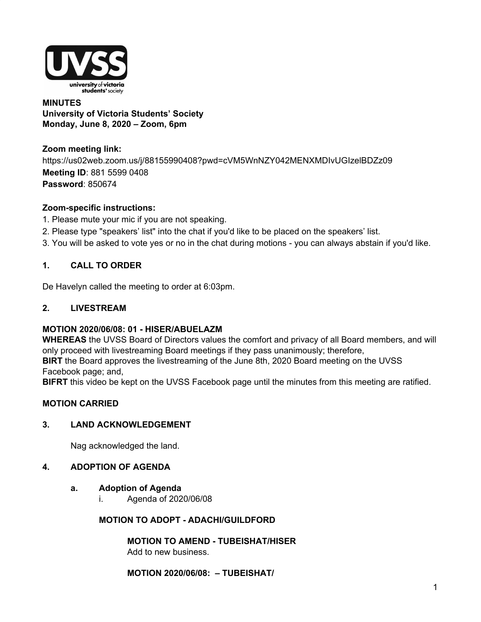

#### **MINUTES University of Victoria Students' Society Monday, June 8, 2020 – Zoom, 6pm**

**Zoom meeting link:** https://us02web.zoom.us/j/88155990408?pwd=cVM5WnNZY042MENXMDIvUGIzelBDZz09 **Meeting ID**: 881 5599 0408 **Password**: 850674

### **Zoom-specific instructions:**

- 1. Please mute your mic if you are not speaking.
- 2. Please type "speakers' list" into the chat if you'd like to be placed on the speakers' list.
- 3. You will be asked to vote yes or no in the chat during motions you can always abstain if you'd like.

### **1. CALL TO ORDER**

De Havelyn called the meeting to order at 6:03pm.

### **2. LIVESTREAM**

#### **MOTION 2020/06/08: 01 - HISER/ABUELAZM**

**WHEREAS** the UVSS Board of Directors values the comfort and privacy of all Board members, and will only proceed with livestreaming Board meetings if they pass unanimously; therefore, **BIRT** the Board approves the livestreaming of the June 8th, 2020 Board meeting on the UVSS

Facebook page; and,

**BIFRT** this video be kept on the UVSS Facebook page until the minutes from this meeting are ratified.

#### **MOTION CARRIED**

#### **3. LAND ACKNOWLEDGEMENT**

Nag acknowledged the land.

### **4. ADOPTION OF AGENDA**

#### **a. Adoption of Agenda**

i. Agenda of 2020/06/08

#### **MOTION TO ADOPT - ADACHI/GUILDFORD**

**MOTION TO AMEND - TUBEISHAT/HISER** Add to new business.

#### **MOTION 2020/06/08: – TUBEISHAT/**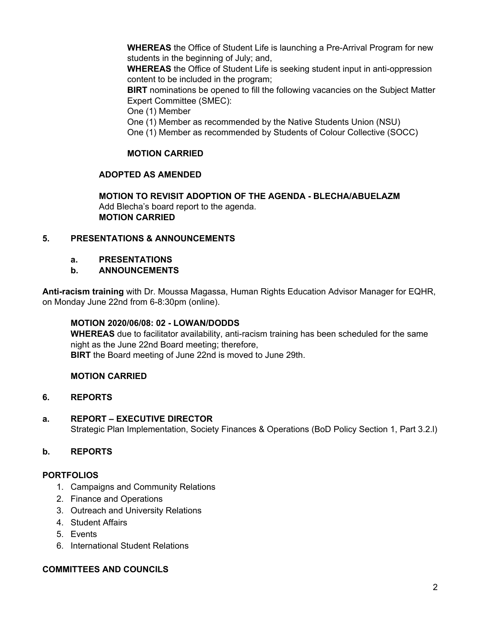**WHEREAS** the Office of Student Life is launching a Pre-Arrival Program for new students in the beginning of July; and,

**WHEREAS** the Office of Student Life is seeking student input in anti-oppression content to be included in the program;

**BIRT** nominations be opened to fill the following vacancies on the Subject Matter Expert Committee (SMEC):

One (1) Member

One (1) Member as recommended by the Native Students Union (NSU)

One (1) Member as recommended by Students of Colour Collective (SOCC)

## **MOTION CARRIED**

## **ADOPTED AS AMENDED**

**MOTION TO REVISIT ADOPTION OF THE AGENDA - BLECHA/ABUELAZM** Add Blecha's board report to the agenda. **MOTION CARRIED**

### **5. PRESENTATIONS & ANNOUNCEMENTS**

## **a. PRESENTATIONS**

## **b. ANNOUNCEMENTS**

**Anti-racism training** with Dr. Moussa Magassa, Human Rights Education Advisor Manager for EQHR, on Monday June 22nd from 6-8:30pm (online).

### **MOTION 2020/06/08: 02 - LOWAN/DODDS**

**WHEREAS** due to facilitator availability, anti-racism training has been scheduled for the same night as the June 22nd Board meeting; therefore, **BIRT** the Board meeting of June 22nd is moved to June 29th.

### **MOTION CARRIED**

# **6. REPORTS**

**a. REPORT – EXECUTIVE DIRECTOR** Strategic Plan Implementation, Society Finances & Operations (BoD Policy Section 1, Part 3.2.l)

# **b. REPORTS**

# **PORTFOLIOS**

- 1. Campaigns and Community Relations
- 2. Finance and Operations
- 3. Outreach and University Relations
- 4. Student Affairs
- 5. Events
- 6. International Student Relations

### **COMMITTEES AND COUNCILS**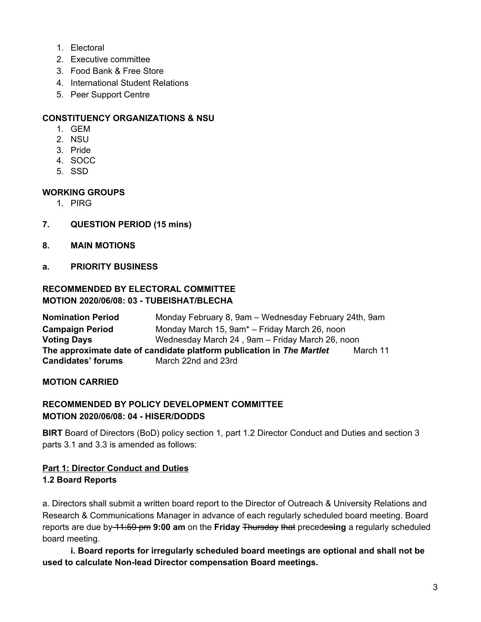- 1. Electoral
- 2. Executive committee
- 3. Food Bank & Free Store
- 4. International Student Relations
- 5. Peer Support Centre

## **CONSTITUENCY ORGANIZATIONS & NSU**

- 1. GEM
- 2. NSU
- 3. Pride
- 4. SOCC
- 5. SSD

## **WORKING GROUPS**

- 1. PIRG
- **7. QUESTION PERIOD (15 mins)**
- **8. MAIN MOTIONS**
- **a. PRIORITY BUSINESS**

## **RECOMMENDED BY ELECTORAL COMMITTEE MOTION 2020/06/08: 03 - TUBEISHAT/BLECHA**

**Nomination Period** Monday February 8, 9am – Wednesday February 24th, 9am **Campaign Period** Monday March 15, 9am\* – Friday March 26, noon **Voting Days** Wednesday March 24 , 9am – Friday March 26, noon **The approximate date of candidate platform publication in** *The Martlet* March 11 **Candidates' forums** March 22nd and 23rd

# **MOTION CARRIED**

## **RECOMMENDED BY POLICY DEVELOPMENT COMMITTEE MOTION 2020/06/08: 04 - HISER/DODDS**

**BIRT** Board of Directors (BoD) policy section 1, part 1.2 Director Conduct and Duties and section 3 parts 3.1 and 3.3 is amended as follows:

# **Part 1: Director Conduct and Duties 1.2 Board Reports**

a. Directors shall submit a written board report to the Director of Outreach & University Relations and Research & Communications Manager in advance of each regularly scheduled board meeting. Board reports are due by 11:59 pm **9:00 am** on the **Friday** Thursday that precedes**ing** a regularly scheduled board meeting.

**i. Board reports for irregularly scheduled board meetings are optional and shall not be used to calculate Non-lead Director compensation Board meetings.**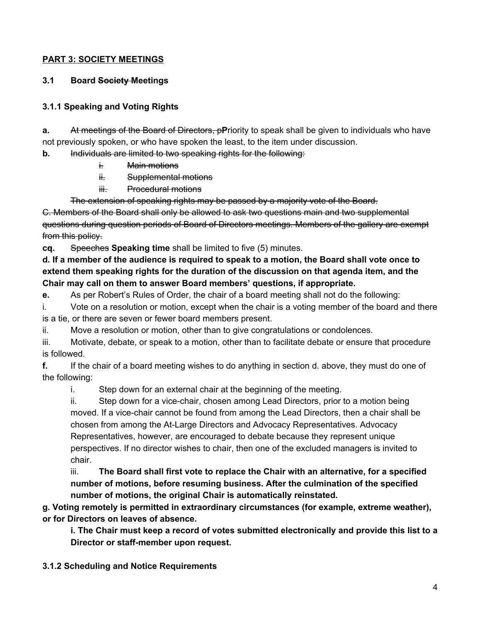## **PART 3: SOCIETY MEETINGS**

## **3.1 Board Society Meetings**

## **3.1.1 Speaking and Voting Rights**

**a.** At meetings of the Board of Directors, p**P**riority to speak shall be given to individuals who have not previously spoken, or who have spoken the least, to the item under discussion.

**b.** Individuals are limited to two speaking rights for the following:

- i. Main motions
- ii. Supplemental motions
- iii. Procedural motions

The extension of speaking rights may be passed by a majority vote of the Board.

C. Members of the Board shall only be allowed to ask two questions main and two supplemental questions during question periods of Board of Directors meetings. Members of the gallery are exempt from this policy.

**cq.** Speeches **Speaking time** shall be limited to five (5) minutes.

# d. If a member of the audience is required to speak to a motion, the Board shall vote once to **extend them speaking rights for the duration of the discussion on that agenda item, and the Chair may call on them to answer Board members' questions, if appropriate.**

**e.** As per Robert's Rules of Order, the chair of a board meeting shall not do the following:

i. Vote on a resolution or motion, except when the chair is a voting member of the board and there is a tie, or there are seven or fewer board members present.

ii. Move a resolution or motion, other than to give congratulations or condolences.

iii. Motivate, debate, or speak to a motion, other than to facilitate debate or ensure that procedure is followed.

**f.** If the chair of a board meeting wishes to do anything in section d. above, they must do one of the following:

i. Step down for an external chair at the beginning of the meeting.

ii. Step down for a vice-chair, chosen among Lead Directors, prior to a motion being moved. If a vice-chair cannot be found from among the Lead Directors, then a chair shall be chosen from among the At-Large Directors and Advocacy Representatives. Advocacy Representatives, however, are encouraged to debate because they represent unique perspectives. If no director wishes to chair, then one of the excluded managers is invited to chair.

iii. **The Board shall first vote to replace the Chair with an alternative, for a specified number of motions, before resuming business. After the culmination of the specified number of motions, the original Chair is automatically reinstated.**

**g. Voting remotely is permitted in extraordinary circumstances (for example, extreme weather), or for Directors on leaves of absence.**

**i. The Chair must keep a record of votes submitted electronically and provide this list to a Director or staff-member upon request.**

**3.1.2 Scheduling and Notice Requirements**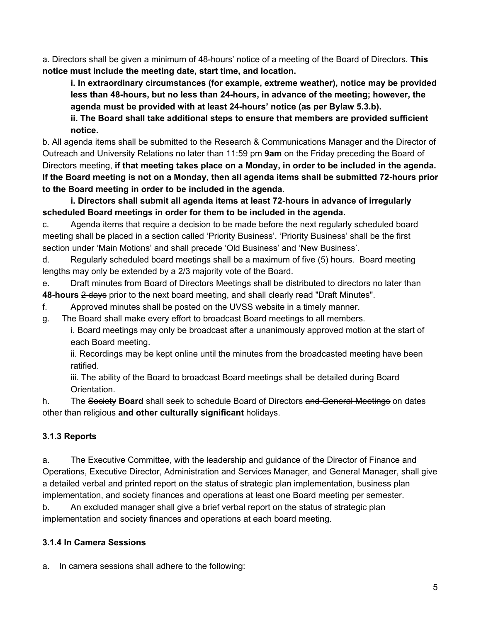a. Directors shall be given a minimum of 48-hours' notice of a meeting of the Board of Directors. **This notice must include the meeting date, start time, and location.**

**i. In extraordinary circumstances (for example, extreme weather), notice may be provided less than 48-hours, but no less than 24-hours, in advance of the meeting; however, the agenda must be provided with at least 24-hours' notice (as per Bylaw 5.3.b).**

**ii. The Board shall take additional steps to ensure that members are provided sufficient notice.**

b. All agenda items shall be submitted to the Research & Communications Manager and the Director of Outreach and University Relations no later than 11:59 pm **9am** on the Friday preceding the Board of Directors meeting, **if that meeting takes place on a Monday, in order to be included in the agenda. If the Board meeting is not on a Monday, then all agenda items shall be submitted 72-hours prior to the Board meeting in order to be included in the agenda**.

**i. Directors shall submit all agenda items at least 72-hours in advance of irregularly scheduled Board meetings in order for them to be included in the agenda.**

c. Agenda items that require a decision to be made before the next regularly scheduled board meeting shall be placed in a section called 'Priority Business'. 'Priority Business' shall be the first section under 'Main Motions' and shall precede 'Old Business' and 'New Business'.

d. Regularly scheduled board meetings shall be a maximum of five (5) hours. Board meeting lengths may only be extended by a 2/3 majority vote of the Board.

e. Draft minutes from Board of Directors Meetings shall be distributed to directors no later than **48-hours** 2 days prior to the next board meeting, and shall clearly read "Draft Minutes".

- f. Approved minutes shall be posted on the UVSS website in a timely manner.
- g. The Board shall make every effort to broadcast Board meetings to all members.

i. Board meetings may only be broadcast after a unanimously approved motion at the start of each Board meeting.

ii. Recordings may be kept online until the minutes from the broadcasted meeting have been ratified.

iii. The ability of the Board to broadcast Board meetings shall be detailed during Board Orientation.

h. The Society **Board** shall seek to schedule Board of Directors and General Meetings on dates other than religious **and other culturally significant** holidays.

# **3.1.3 Reports**

a. The Executive Committee, with the leadership and guidance of the Director of Finance and Operations, Executive Director, Administration and Services Manager, and General Manager, shall give a detailed verbal and printed report on the status of strategic plan implementation, business plan implementation, and society finances and operations at least one Board meeting per semester.

b. An excluded manager shall give a brief verbal report on the status of strategic plan implementation and society finances and operations at each board meeting.

# **3.1.4 In Camera Sessions**

a. In camera sessions shall adhere to the following: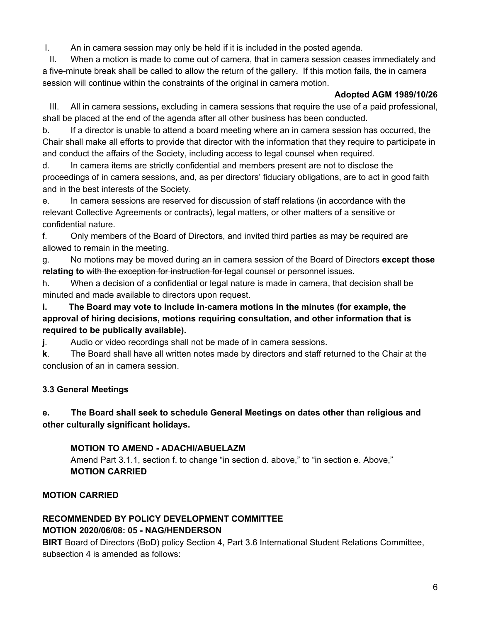I. An in camera session may only be held if it is included in the posted agenda.

II. When a motion is made to come out of camera, that in camera session ceases immediately and a five-minute break shall be called to allow the return of the gallery. If this motion fails, the in camera session will continue within the constraints of the original in camera motion.

## **Adopted AGM 1989/10/26**

III. All in camera sessions**,** excluding in camera sessions that require the use of a paid professional, shall be placed at the end of the agenda after all other business has been conducted.

b. If a director is unable to attend a board meeting where an in camera session has occurred, the Chair shall make all efforts to provide that director with the information that they require to participate in and conduct the affairs of the Society, including access to legal counsel when required.

d. In camera items are strictly confidential and members present are not to disclose the proceedings of in camera sessions, and, as per directors' fiduciary obligations, are to act in good faith and in the best interests of the Society.

e. In camera sessions are reserved for discussion of staff relations (in accordance with the relevant Collective Agreements or contracts), legal matters, or other matters of a sensitive or confidential nature.

f. Only members of the Board of Directors, and invited third parties as may be required are allowed to remain in the meeting.

g. No motions may be moved during an in camera session of the Board of Directors **except those relating to** with the exception for instruction for legal counsel or personnel issues.

h. When a decision of a confidential or legal nature is made in camera, that decision shall be minuted and made available to directors upon request.

**i. The Board may vote to include in-camera motions in the minutes (for example, the approval of hiring decisions, motions requiring consultation, and other information that is required to be publically available).**

**j**. Audio or video recordings shall not be made of in camera sessions.

**k**. The Board shall have all written notes made by directors and staff returned to the Chair at the conclusion of an in camera session.

# **3.3 General Meetings**

# **e. The Board shall seek to schedule General Meetings on dates other than religious and other culturally significant holidays.**

# **MOTION TO AMEND - ADACHI/ABUELAZM**

Amend Part 3.1.1, section f. to change "in section d. above," to "in section e. Above," **MOTION CARRIED**

# **MOTION CARRIED**

# **RECOMMENDED BY POLICY DEVELOPMENT COMMITTEE MOTION 2020/06/08: 05 - NAG/HENDERSON**

**BIRT** Board of Directors (BoD) policy Section 4, Part 3.6 International Student Relations Committee, subsection 4 is amended as follows: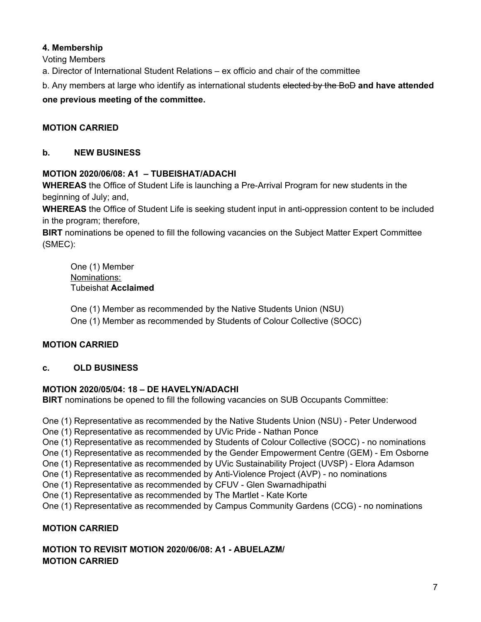## **4. Membership**

Voting Members

a. Director of International Student Relations – ex officio and chair of the committee

b. Any members at large who identify as international students elected by the BoD **and have attended**

## **one previous meeting of the committee.**

## **MOTION CARRIED**

### **b. NEW BUSINESS**

### **MOTION 2020/06/08: A1 – TUBEISHAT/ADACHI**

**WHEREAS** the Office of Student Life is launching a Pre-Arrival Program for new students in the beginning of July; and,

**WHEREAS** the Office of Student Life is seeking student input in anti-oppression content to be included in the program; therefore,

**BIRT** nominations be opened to fill the following vacancies on the Subject Matter Expert Committee (SMEC):

One (1) Member Nominations: Tubeishat **Acclaimed**

One (1) Member as recommended by the Native Students Union (NSU) One (1) Member as recommended by Students of Colour Collective (SOCC)

### **MOTION CARRIED**

### **c. OLD BUSINESS**

### **MOTION 2020/05/04: 18 – DE HAVELYN/ADACHI**

**BIRT** nominations be opened to fill the following vacancies on SUB Occupants Committee:

One (1) Representative as recommended by the Native Students Union (NSU) - Peter Underwood

One (1) Representative as recommended by UVic Pride - Nathan Ponce

One (1) Representative as recommended by Students of Colour Collective (SOCC) - no nominations

One (1) Representative as recommended by the Gender Empowerment Centre (GEM) - Em Osborne

One (1) Representative as recommended by UVic Sustainability Project (UVSP) - Elora Adamson

One (1) Representative as recommended by Anti-Violence Project (AVP) - no nominations

One (1) Representative as recommended by CFUV - Glen Swarnadhipathi

One (1) Representative as recommended by The Martlet - Kate Korte

One (1) Representative as recommended by Campus Community Gardens (CCG) - no nominations

# **MOTION CARRIED**

# **MOTION TO REVISIT MOTION 2020/06/08: A1 - ABUELAZM/ MOTION CARRIED**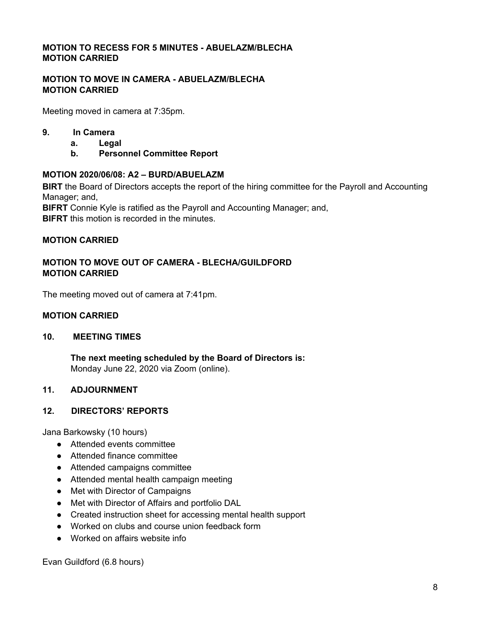### **MOTION TO RECESS FOR 5 MINUTES - ABUELAZM/BLECHA MOTION CARRIED**

#### **MOTION TO MOVE IN CAMERA - ABUELAZM/BLECHA MOTION CARRIED**

Meeting moved in camera at 7:35pm.

#### **9. In Camera**

- **a. Legal**
- **b. Personnel Committee Report**

#### **MOTION 2020/06/08: A2 – BURD/ABUELAZM**

**BIRT** the Board of Directors accepts the report of the hiring committee for the Payroll and Accounting Manager; and,

**BIFRT** Connie Kyle is ratified as the Payroll and Accounting Manager; and, **BIFRT** this motion is recorded in the minutes.

#### **MOTION CARRIED**

### **MOTION TO MOVE OUT OF CAMERA - BLECHA/GUILDFORD MOTION CARRIED**

The meeting moved out of camera at 7:41pm.

#### **MOTION CARRIED**

#### **10. MEETING TIMES**

**The next meeting scheduled by the Board of Directors is:** Monday June 22, 2020 via Zoom (online).

### **11. ADJOURNMENT**

### **12. DIRECTORS' REPORTS**

Jana Barkowsky (10 hours)

- Attended events committee
- Attended finance committee
- Attended campaigns committee
- Attended mental health campaign meeting
- Met with Director of Campaigns
- Met with Director of Affairs and portfolio DAL
- Created instruction sheet for accessing mental health support
- Worked on clubs and course union feedback form
- Worked on affairs website info

Evan Guildford (6.8 hours)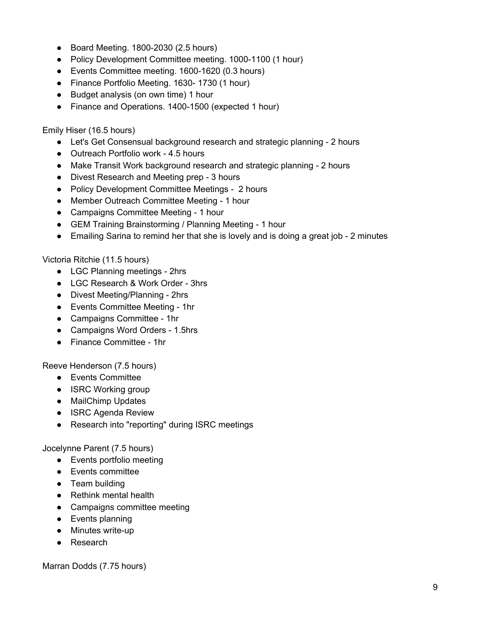- Board Meeting. 1800-2030 (2.5 hours)
- Policy Development Committee meeting. 1000-1100 (1 hour)
- Events Committee meeting. 1600-1620 (0.3 hours)
- Finance Portfolio Meeting. 1630- 1730 (1 hour)
- Budget analysis (on own time) 1 hour
- Finance and Operations. 1400-1500 (expected 1 hour)

Emily Hiser (16.5 hours)

- Let's Get Consensual background research and strategic planning 2 hours
- Outreach Portfolio work 4.5 hours
- Make Transit Work background research and strategic planning 2 hours
- Divest Research and Meeting prep 3 hours
- Policy Development Committee Meetings 2 hours
- Member Outreach Committee Meeting 1 hour
- Campaigns Committee Meeting 1 hour
- GEM Training Brainstorming / Planning Meeting 1 hour
- Emailing Sarina to remind her that she is lovely and is doing a great job 2 minutes

Victoria Ritchie (11.5 hours)

- LGC Planning meetings 2hrs
- LGC Research & Work Order 3hrs
- Divest Meeting/Planning 2hrs
- Events Committee Meeting 1hr
- Campaigns Committee 1hr
- Campaigns Word Orders 1.5hrs
- Finance Committee 1hr

Reeve Henderson (7.5 hours)

- Events Committee
- ISRC Working group
- MailChimp Updates
- ISRC Agenda Review
- Research into "reporting" during ISRC meetings

Jocelynne Parent (7.5 hours)

- Events portfolio meeting
- Events committee
- Team building
- Rethink mental health
- Campaigns committee meeting
- Events planning
- Minutes write-up
- Research

Marran Dodds (7.75 hours)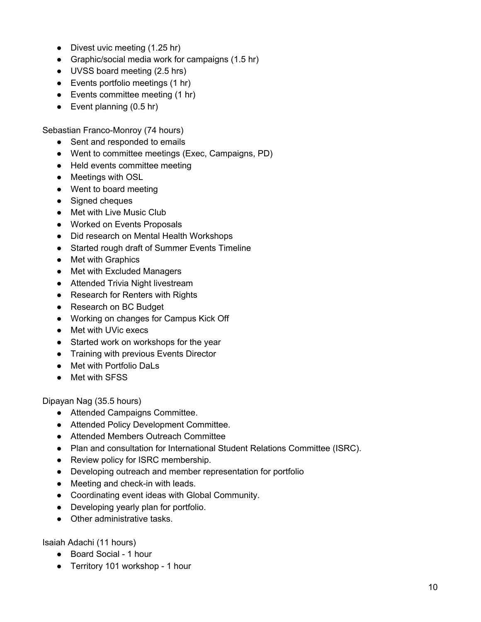- Divest uvic meeting (1.25 hr)
- Graphic/social media work for campaigns (1.5 hr)
- UVSS board meeting (2.5 hrs)
- Events portfolio meetings (1 hr)
- Events committee meeting (1 hr)
- $\bullet$  Event planning (0.5 hr)

Sebastian Franco-Monroy (74 hours)

- Sent and responded to emails
- Went to committee meetings (Exec, Campaigns, PD)
- Held events committee meeting
- Meetings with OSL
- Went to board meeting
- Signed cheques
- Met with Live Music Club
- Worked on Events Proposals
- Did research on Mental Health Workshops
- Started rough draft of Summer Events Timeline
- Met with Graphics
- Met with Excluded Managers
- Attended Trivia Night livestream
- Research for Renters with Rights
- Research on BC Budget
- Working on changes for Campus Kick Off
- Met with UVic execs
- Started work on workshops for the year
- Training with previous Events Director
- Met with Portfolio DaLs
- Met with SFSS

Dipayan Nag (35.5 hours)

- Attended Campaigns Committee.
- Attended Policy Development Committee.
- Attended Members Outreach Committee
- Plan and consultation for International Student Relations Committee (ISRC).
- Review policy for ISRC membership.
- Developing outreach and member representation for portfolio
- Meeting and check-in with leads.
- Coordinating event ideas with Global Community.
- Developing yearly plan for portfolio.
- Other administrative tasks.

Isaiah Adachi (11 hours)

- Board Social 1 hour
- Territory 101 workshop 1 hour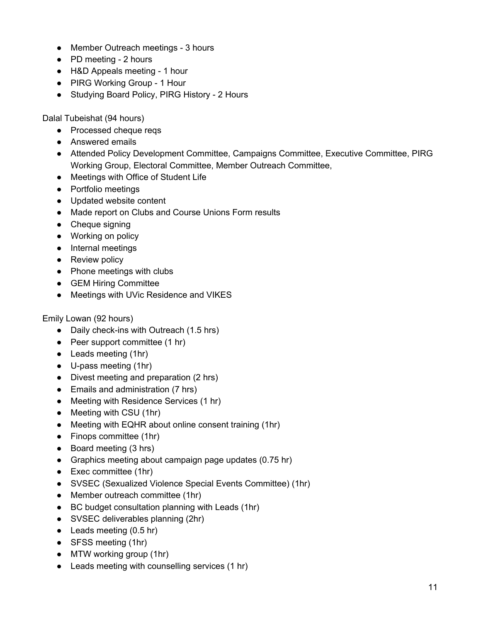- Member Outreach meetings 3 hours
- PD meeting 2 hours
- H&D Appeals meeting 1 hour
- PIRG Working Group 1 Hour
- Studying Board Policy, PIRG History 2 Hours

Dalal Tubeishat (94 hours)

- Processed cheque reqs
- Answered emails
- Attended Policy Development Committee, Campaigns Committee, Executive Committee, PIRG Working Group, Electoral Committee, Member Outreach Committee,
- Meetings with Office of Student Life
- Portfolio meetings
- Updated website content
- Made report on Clubs and Course Unions Form results
- Cheque signing
- Working on policy
- Internal meetings
- Review policy
- Phone meetings with clubs
- GEM Hiring Committee
- Meetings with UVic Residence and VIKES

### Emily Lowan (92 hours)

- Daily check-ins with Outreach (1.5 hrs)
- Peer support committee (1 hr)
- Leads meeting (1hr)
- U-pass meeting (1hr)
- Divest meeting and preparation (2 hrs)
- Emails and administration (7 hrs)
- Meeting with Residence Services (1 hr)
- Meeting with CSU (1hr)
- Meeting with EQHR about online consent training (1hr)
- Finops committee (1hr)
- Board meeting (3 hrs)
- Graphics meeting about campaign page updates (0.75 hr)
- Exec committee (1hr)
- SVSEC (Sexualized Violence Special Events Committee) (1hr)
- Member outreach committee (1hr)
- BC budget consultation planning with Leads (1hr)
- SVSEC deliverables planning (2hr)
- Leads meeting (0.5 hr)
- SFSS meeting (1hr)
- MTW working group (1hr)
- Leads meeting with counselling services (1 hr)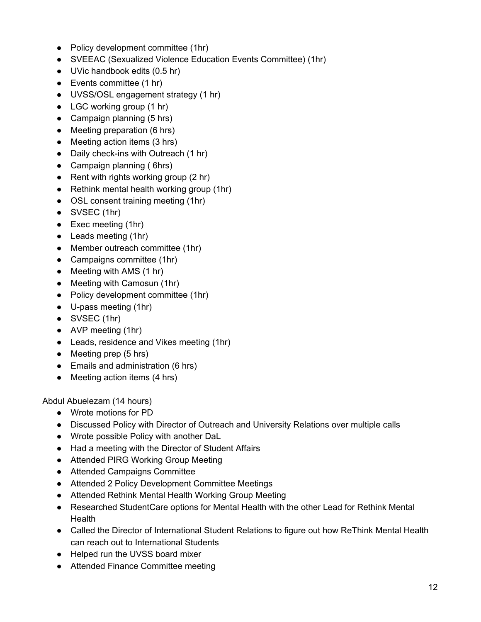- Policy development committee (1hr)
- SVEEAC (Sexualized Violence Education Events Committee) (1hr)
- UVic handbook edits (0.5 hr)
- Events committee (1 hr)
- UVSS/OSL engagement strategy (1 hr)
- LGC working group (1 hr)
- Campaign planning (5 hrs)
- Meeting preparation (6 hrs)
- Meeting action items (3 hrs)
- Daily check-ins with Outreach (1 hr)
- Campaign planning (6hrs)
- Rent with rights working group (2 hr)
- Rethink mental health working group (1hr)
- OSL consent training meeting (1hr)
- SVSEC (1hr)
- Exec meeting (1hr)
- Leads meeting (1hr)
- Member outreach committee (1hr)
- Campaigns committee (1hr)
- Meeting with AMS (1 hr)
- Meeting with Camosun (1hr)
- Policy development committee (1hr)
- U-pass meeting (1hr)
- SVSEC (1hr)
- AVP meeting (1hr)
- Leads, residence and Vikes meeting (1hr)
- Meeting prep (5 hrs)
- Emails and administration (6 hrs)
- Meeting action items (4 hrs)

Abdul Abuelezam (14 hours)

- Wrote motions for PD
- Discussed Policy with Director of Outreach and University Relations over multiple calls
- Wrote possible Policy with another DaL
- Had a meeting with the Director of Student Affairs
- Attended PIRG Working Group Meeting
- Attended Campaigns Committee
- Attended 2 Policy Development Committee Meetings
- Attended Rethink Mental Health Working Group Meeting
- Researched StudentCare options for Mental Health with the other Lead for Rethink Mental **Health**
- Called the Director of International Student Relations to figure out how ReThink Mental Health can reach out to International Students
- Helped run the UVSS board mixer
- Attended Finance Committee meeting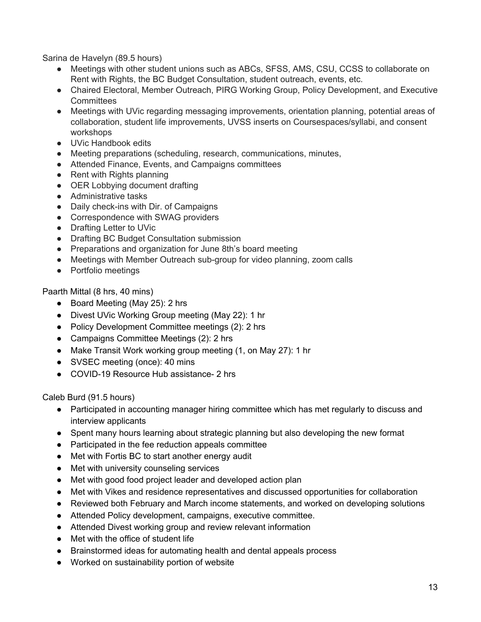Sarina de Havelyn (89.5 hours)

- Meetings with other student unions such as ABCs, SFSS, AMS, CSU, CCSS to collaborate on Rent with Rights, the BC Budget Consultation, student outreach, events, etc.
- Chaired Electoral, Member Outreach, PIRG Working Group, Policy Development, and Executive **Committees**
- Meetings with UVic regarding messaging improvements, orientation planning, potential areas of collaboration, student life improvements, UVSS inserts on Coursespaces/syllabi, and consent workshops
- UVic Handbook edits
- Meeting preparations (scheduling, research, communications, minutes,
- Attended Finance, Events, and Campaigns committees
- Rent with Rights planning
- OER Lobbying document drafting
- Administrative tasks
- Daily check-ins with Dir. of Campaigns
- Correspondence with SWAG providers
- Drafting Letter to UVic
- Drafting BC Budget Consultation submission
- Preparations and organization for June 8th's board meeting
- Meetings with Member Outreach sub-group for video planning, zoom calls
- Portfolio meetings

Paarth Mittal (8 hrs, 40 mins)

- Board Meeting (May 25): 2 hrs
- Divest UVic Working Group meeting (May 22): 1 hr
- Policy Development Committee meetings (2): 2 hrs
- Campaigns Committee Meetings (2): 2 hrs
- Make Transit Work working group meeting (1, on May 27): 1 hr
- SVSEC meeting (once): 40 mins
- COVID-19 Resource Hub assistance- 2 hrs

Caleb Burd (91.5 hours)

- Participated in accounting manager hiring committee which has met regularly to discuss and interview applicants
- Spent many hours learning about strategic planning but also developing the new format
- Participated in the fee reduction appeals committee
- Met with Fortis BC to start another energy audit
- Met with university counseling services
- Met with good food project leader and developed action plan
- Met with Vikes and residence representatives and discussed opportunities for collaboration
- Reviewed both February and March income statements, and worked on developing solutions
- Attended Policy development, campaigns, executive committee.
- Attended Divest working group and review relevant information
- Met with the office of student life
- Brainstormed ideas for automating health and dental appeals process
- Worked on sustainability portion of website